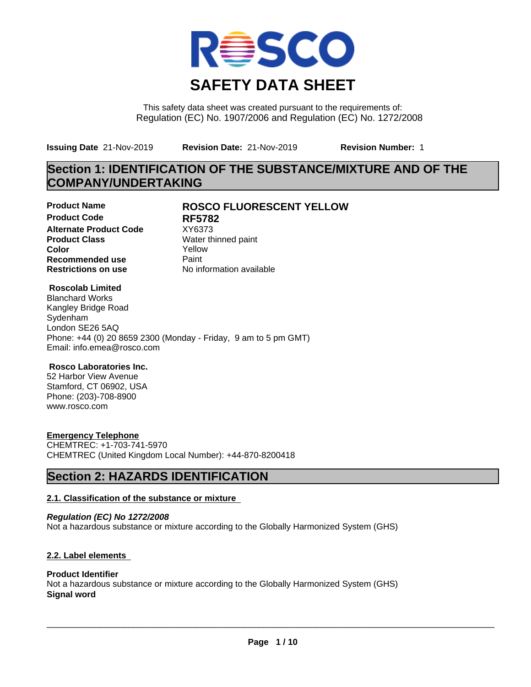

This safety data sheet was created pursuant to the requirements of: Regulation (EC) No. 1907/2006 and Regulation (EC) No. 1272/2008

**Issuing Date** 21-Nov-2019 **Revision Date:** 21-Nov-2019 **Revision Number:** 1

# **Section 1: IDENTIFICATION OF THE SUBSTANCE/MIXTURE AND OF THE COMPANY/UNDERTAKING**

**Product Code RF5782 Alternate Product Code** XY6373<br> **Product Class** Water th **Color** Yellow **Recommended use** Paint<br> **Restrictions on use** Mo information available **Restrictions on use** 

# **Product Name ROSCO FLUORESCENT YELLOW**

**Water thinned paint** 

## **Roscolab Limited**

Blanchard Works Kangley Bridge Road Sydenham London SE26 5AQ Phone: +44 (0) 20 8659 2300 (Monday - Friday, 9 am to 5 pm GMT) Email: info.emea@rosco.com

### **Rosco Laboratories Inc.**

52 Harbor View Avenue Stamford, CT 06902, USA Phone: (203)-708-8900 www.rosco.com

## **Emergency Telephone**

CHEMTREC: +1-703-741-5970 CHEMTREC (United Kingdom Local Number): +44-870-8200418

# **Section 2: HAZARDS IDENTIFICATION**

### **2.1. Classification of the substance or mixture**

*Regulation (EC) No 1272/2008* Not a hazardous substance or mixture according to the Globally Harmonized System (GHS)

## **2.2. Label elements**

## **Product Identifier**

Not a hazardous substance or mixture according to the Globally Harmonized System (GHS) **Signal word**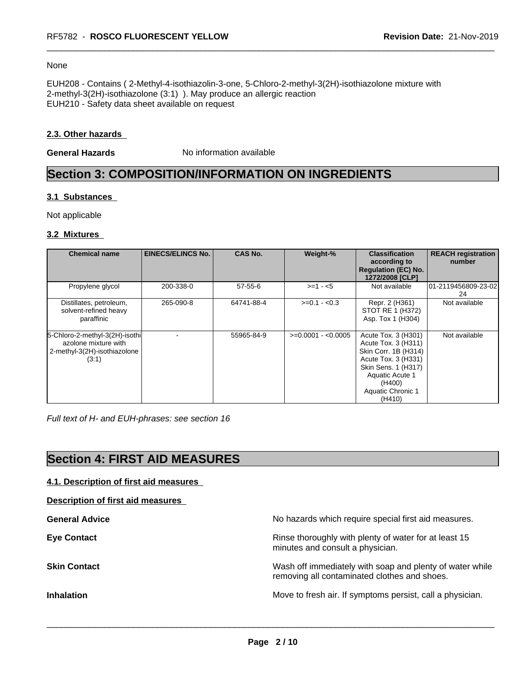#### None

EUH208 - Contains ( 2-Methyl-4-isothiazolin-3-one, 5-Chloro-2-methyl-3(2H)-isothiazolone mixture with 2-methyl-3(2H)-isothiazolone (3:1) ). May produce an allergic reaction EUH210 - Safety data sheet available on request

### **2.3. Other hazards**

**General Hazards** No information available

# **Section 3: COMPOSITION/INFORMATION ON INGREDIENTS**

## **3.1 Substances**

Not applicable

### **3.2 Mixtures**

| <b>Chemical name</b>                                                                            | <b>EINECS/ELINCS No.</b> | <b>CAS No.</b> | Weight-%            | <b>Classification</b><br>according to<br><b>Regulation (EC) No.</b><br>1272/2008 [CLP]                                                                                              | <b>REACH registration</b><br>number |
|-------------------------------------------------------------------------------------------------|--------------------------|----------------|---------------------|-------------------------------------------------------------------------------------------------------------------------------------------------------------------------------------|-------------------------------------|
| Propylene glycol                                                                                | 200-338-0                | $57 - 55 - 6$  | $>= 1 - 5$          | Not available                                                                                                                                                                       | 01-2119456809-23-02<br>24           |
| Distillates, petroleum,<br>solvent-refined heavy<br>paraffinic                                  | 265-090-8                | 64741-88-4     | $>=0.1 - 0.3$       | Repr. 2 (H361)<br>STOT RE 1 (H372)<br>Asp. Tox 1 (H304)                                                                                                                             | Not available                       |
| 5-Chloro-2-methyl-3(2H)-isothi<br>azolone mixture with<br>2-methyl-3(2H)-isothiazolone<br>(3:1) |                          | 55965-84-9     | $>=0.0001 - 0.0005$ | Acute Tox. 3 (H301)<br>Acute Tox. 3 (H311)<br>Skin Corr. 1B (H314)<br>Acute Tox. 3 (H331)<br>Skin Sens. 1 (H317)<br><b>Aquatic Acute 1</b><br>(H400)<br>Aquatic Chronic 1<br>(H410) | Not available                       |

*Full text of H- and EUH-phrases: see section 16*

# **Section 4: FIRST AID MEASURES**

| 4.1. Description of first aid measures |
|----------------------------------------|
|----------------------------------------|

**Description of first aid measures**

**General Advice** No hazards which require special first aid measures. **Eye Contact Exercise 20 All 20 All 20 All 20 All 20 All 20 All 20 All 20 All 20 All 20 All 20 All 20 All 20 All 20 All 20 All 20 All 20 All 20 All 20 All 20 All 20 All 20 All 20 All 20 All 20 All 20 All 20 All 20 All 20** minutes and consult a physician. **Skin Contact** Mash of immediately with soap and plenty of water while removing all contaminated clothes and shoes. **Inhalation Inhalation Move to fresh air.** If symptoms persist, call a physician.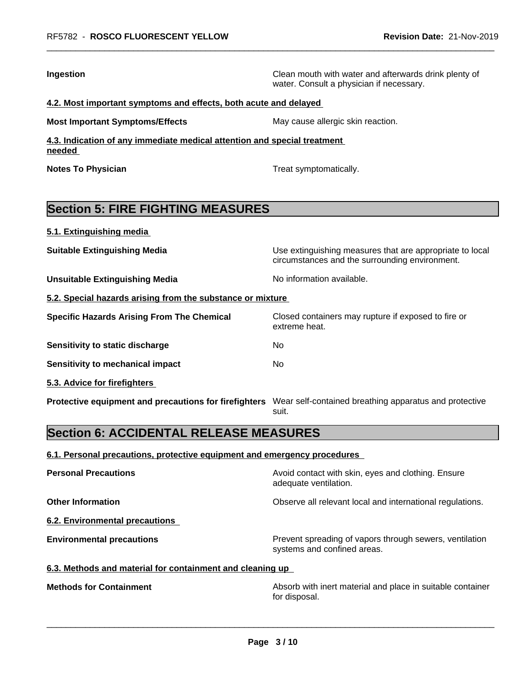**Ingestion Ingestion Ingestion Clean mouth with water and afterwards drink plenty of** water. Consult a physician if necessary.

circumstances and the surrounding environment.

### **4.2. Most important symptoms and effects, both acute and delayed**

**Most Important Symptoms/Effects** May cause allergic skin reaction.

**4.3. Indication of any immediate medical attention and special treatment needed** 

**Notes To Physician Treat symptomatically.** 

# **Section 5: FIRE FIGHTING MEASURES**

**5.1. Extinguishing media**

**Suitable Extinguishing Media** Maximum Use extinguishing measures that are appropriate to local

**Unsuitable Extinguishing Media** Noinformation available.

**5.2. Special hazards arising from the substance or mixture**

| <b>Specific Hazards Arising From The Chemical</b> | Closed containers may rupture if exposed to fire or<br>extreme heat. |
|---------------------------------------------------|----------------------------------------------------------------------|
| Sensitivity to static discharge                   | No                                                                   |
| Sensitivity to mechanical impact                  | No                                                                   |
|                                                   |                                                                      |

**5.3. Advice for firefighters** 

**Protective equipment and precautions for firefighters** Wear self-contained breathing apparatus and protective suit.

# **Section 6: ACCIDENTAL RELEASE MEASURES**

### **6.1. Personal precautions, protective equipment and emergency procedures**

| <b>Personal Precautions</b>                               | Avoid contact with skin, eyes and clothing. Ensure<br>adequate ventilation.            |  |  |
|-----------------------------------------------------------|----------------------------------------------------------------------------------------|--|--|
| <b>Other Information</b>                                  | Observe all relevant local and international regulations.                              |  |  |
| 6.2. Environmental precautions                            |                                                                                        |  |  |
| <b>Environmental precautions</b>                          | Prevent spreading of vapors through sewers, ventilation<br>systems and confined areas. |  |  |
| 6.3. Methods and material for containment and cleaning up |                                                                                        |  |  |
|                                                           |                                                                                        |  |  |

**Methods for Containment Absorb with inert material and place in suitable container** for disposal.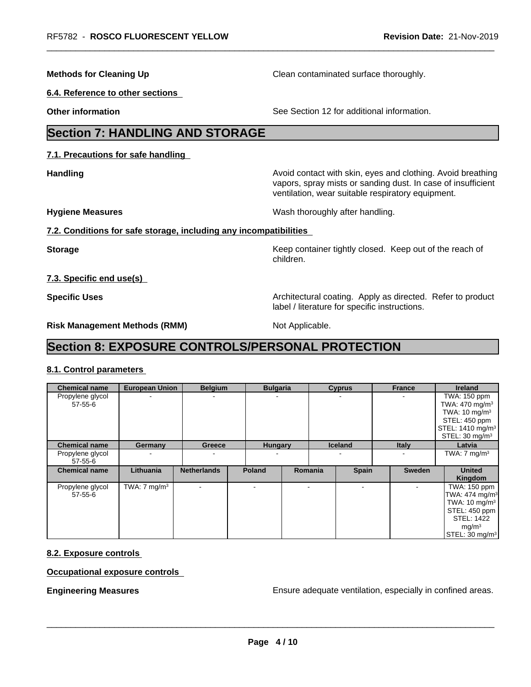**Methods for Cleaning Up** Clean contaminated surface thoroughly.

**6.4. Reference to other sections**

**Other information** See Section 12 for additional information.

# **Section 7: HANDLING AND STORAGE**

**7.1. Precautions for safe handling**

**Handling Handling Avoid contact with skin, eyes and clothing. Avoid breathing** vapors, spray mists or sanding dust. In case of insufficient ventilation, wear suitable respiratory equipment.

**Hygiene Measures** Mash thoroughly after handling.

## **7.2. Conditions for safe storage, including any incompatibilities**

**Storage Keep container tightly closed. Keep out of the reach of Keep** container tightly closed. Keep out of the reach of children.

**7.3. Specific end use(s)**

**Specific Uses Architectural coating. Apply as directed. Refer to product Specific Uses** label / literature for specific instructions.

**Risk Management Methods (RMM)** Not Applicable.

# **Section 8: EXPOSURE CONTROLS/PERSONAL PROTECTION**

# **8.1. Control parameters**

| <b>Chemical name</b>              | <b>European Union</b>   | <b>Belgium</b>           |               | <b>Bulgaria</b> |                | <b>Cyprus</b>  | <b>France</b> | <b>Ireland</b>                                                                                                                                                    |
|-----------------------------------|-------------------------|--------------------------|---------------|-----------------|----------------|----------------|---------------|-------------------------------------------------------------------------------------------------------------------------------------------------------------------|
| Propylene glycol<br>$57 - 55 - 6$ |                         | $\overline{\phantom{a}}$ |               |                 |                |                |               | TWA: 150 ppm<br>TWA: $470 \text{ mg/m}^3$<br>TWA: $10 \text{ mg/m}^3$<br>STEL: 450 ppm<br>STEL: 1410 mg/m <sup>3</sup>                                            |
| <b>Chemical name</b>              | Germany                 | Greece                   |               | <b>Hungary</b>  |                | <b>Iceland</b> | <b>Italy</b>  | STEL: $30 \text{ mg/m}^3$<br>Latvia                                                                                                                               |
| Propylene glycol<br>$57 - 55 - 6$ |                         | $\overline{\phantom{a}}$ |               |                 |                | -              |               | TWA: $7 \text{ mg/m}^3$                                                                                                                                           |
| <b>Chemical name</b>              | Lithuania               | <b>Netherlands</b>       | <b>Poland</b> |                 | <b>Romania</b> | <b>Spain</b>   | Sweden        | <b>United</b><br>Kingdom                                                                                                                                          |
| Propylene glycol<br>$57 - 55 - 6$ | TWA: $7 \text{ mg/m}^3$ |                          |               |                 |                | $\blacksquare$ |               | TWA: 150 ppm<br>TWA: $474$ mg/m <sup>3</sup><br>TWA: $10 \text{ mg/m}^3$<br>STEL: 450 ppm<br><b>STEL: 1422</b><br>mg/m <sup>3</sup><br>STEL: 30 mg/m <sup>3</sup> |

## **8.2. Exposure controls**

**Occupational exposure controls**

**Engineering Measures Ensure adequate ventilation, especially in confined areas.**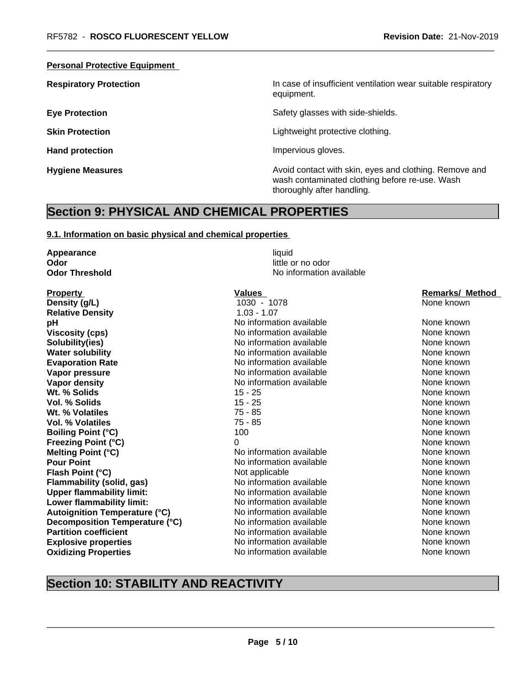### **Personal Protective Equipment**

**Respiratory Protection In case of insufficient ventilation wear suitable respiratory** equipment.

**Eye Protection** Safety glasses with side-shields.

**Skin Protection Skin Protection Lightweight protective clothing.** 

Hand protection **Impervious** gloves.

**Hygiene Measures Avoid contact with skin, eyes and clothing. Remove and Avoid contact with skin, eyes and clothing. Remove and Avoid contact with skin, eyes and clothing. Remove and** wash contaminated clothing before re-use. Wash thoroughly after handling.

# **Section 9: PHYSICAL AND CHEMICAL PROPERTIES**

#### **9.1. Information on basic physical and chemical properties**

**Appearance** liquid **Odor** little or no odor **Odor Threshold** No information available **Property Construction Construction Construction Values Construction Construction Construction Construction Construction Construction Construction Construction Construction Construction Construction Construction Constr Density (g/L)** 1030 - 1078 None known **Relative Density** 1.03 - 1.07 **pH pH** No information available None known None known **Viscosity (cps)** Noinformation available None known None known **Solubility(ies)** No information available None known None known **Water solubility** Note 2008 Monomation available None known None known **Evaporation Rate Notify Algebra 2012 M** No information available **None known** None known **Vapor pressure** Noinformation available None known None known **Vapor density** No information available None known **Wt. % Solids** 15 - 25 None known **None known Vol. % Solids** 15 - 25 None known **Wt. % Volatiles** 75 - 85 None known **Vol. % Volatiles** 75 - 85 None known None known **Boiling Point (°C)** 100 100 None known **Freezing Point (°C)** 0 None known **Melting Point (°C)** Noinformation available None known **Pour Point** No information available None known None known **Flash Point (°C)**<br> **Flammability (solid, gas)** Not applicable Not available None known<br>
Not applicable None Known None known **Flammability (solid, gas)** No information available None known **Upper flammability limit:** No information available None Known None known **Lower flammability limit:** No information available None known None known **Autoignition Temperature (°C)** No information available None known **Decomposition Temperature (°C)** No information available None Known None known **Partition coefficient Notifically community Notifically None known** None known **Explosive properties** No information available None known None known **Oxidizing Properties No information available** None known

# **Section 10: STABILITY AND REACTIVITY**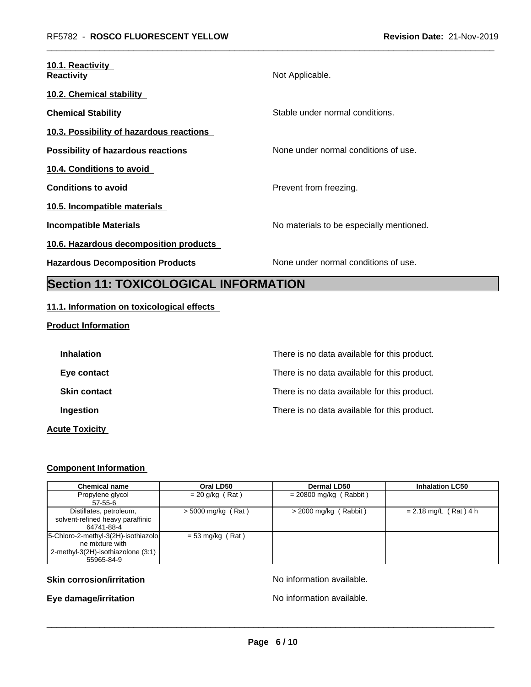| 10.1. Reactivity<br><b>Reactivity</b>        | Not Applicable.                          |
|----------------------------------------------|------------------------------------------|
| 10.2. Chemical stability                     |                                          |
| <b>Chemical Stability</b>                    | Stable under normal conditions.          |
| 10.3. Possibility of hazardous reactions     |                                          |
| <b>Possibility of hazardous reactions</b>    | None under normal conditions of use.     |
| 10.4. Conditions to avoid                    |                                          |
| <b>Conditions to avoid</b>                   | Prevent from freezing.                   |
| 10.5. Incompatible materials                 |                                          |
| Incompatible Materials                       | No materials to be especially mentioned. |
| 10.6. Hazardous decomposition products       |                                          |
| <b>Hazardous Decomposition Products</b>      | None under normal conditions of use.     |
| <b>Section 11: TOXICOLOGICAL INFORMATION</b> |                                          |

# **11.1. Information on toxicological effects**

## **Product Information**

| <b>Inhalation</b>     | There is no data available for this product. |
|-----------------------|----------------------------------------------|
| Eye contact           | There is no data available for this product. |
| <b>Skin contact</b>   | There is no data available for this product. |
| Ingestion             | There is no data available for this product. |
| <b>Acute Toxicity</b> |                                              |

# **Component Information**

| <b>Chemical name</b>                                                                                         | Oral LD50            | Dermal LD50              | <b>Inhalation LC50</b>  |
|--------------------------------------------------------------------------------------------------------------|----------------------|--------------------------|-------------------------|
| Propylene glycol<br>57-55-6                                                                                  | = 20 g/kg (Rat)      | $= 20800$ mg/kg (Rabbit) |                         |
| Distillates, petroleum,<br>solvent-refined heavy paraffinic<br>64741-88-4                                    | $>$ 5000 mg/kg (Rat) | $>$ 2000 mg/kg (Rabbit)  | $= 2.18$ mg/L (Rat) 4 h |
| 5-Chloro-2-methyl-3(2H)-isothiazolo<br>ne mixture with<br>2-methyl-3(2H)-isothiazolone (3:1)  <br>55965-84-9 | $= 53$ mg/kg (Rat)   |                          |                         |

## **Skin corrosion/irritation** No information available.

**Eye damage/irritation No information available.**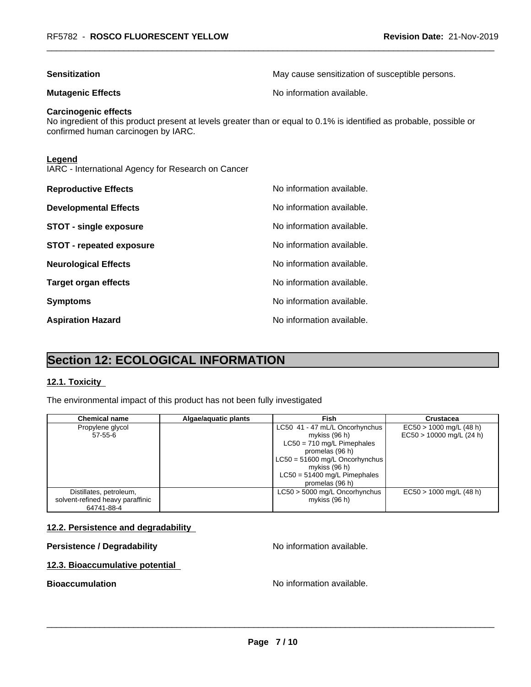| May cause sensitization of susceptible persons.                                                                      |
|----------------------------------------------------------------------------------------------------------------------|
| No information available.                                                                                            |
| No ingredient of this product present at levels greater than or equal to 0.1% is identified as probable, possible or |
|                                                                                                                      |
| No information available.                                                                                            |
| No information available.                                                                                            |
| No information available.                                                                                            |
| No information available.                                                                                            |
| No information available.                                                                                            |
| No information available.                                                                                            |
| No information available.                                                                                            |
|                                                                                                                      |

Aspiration Hazard<br>
No information available.

# **Section 12: ECOLOGICAL INFORMATION**

## **12.1. Toxicity**

The environmental impact of this product has not been fully investigated

| <b>Chemical name</b>             | Algae/aquatic plants | Fish                             | <b>Crustacea</b>           |
|----------------------------------|----------------------|----------------------------------|----------------------------|
| Propylene glycol                 |                      | LC50 41 - 47 mL/L Oncorhynchus   | $EC50 > 1000$ mg/L (48 h)  |
| $57 - 55 - 6$                    |                      | mykiss (96 h)                    | $EC50 > 10000$ mg/L (24 h) |
|                                  |                      | $LC50 = 710$ mg/L Pimephales     |                            |
|                                  |                      | promelas (96 h)                  |                            |
|                                  |                      | $LC50 = 51600$ mg/L Oncorhynchus |                            |
|                                  |                      | mykiss $(96 h)$                  |                            |
|                                  |                      | $LC50 = 51400$ mg/L Pimephales   |                            |
|                                  |                      | promelas (96 h)                  |                            |
| Distillates, petroleum,          |                      | LC50 > 5000 mg/L Oncorhynchus    | $EC50 > 1000$ mg/L (48 h)  |
| solvent-refined heavy paraffinic |                      | mykiss (96 h)                    |                            |
| 64741-88-4                       |                      |                                  |                            |

## **12.2. Persistence and degradability**

# **Persistence / Degradability No information available.**

# **12.3. Bioaccumulative potential**

**Bioaccumulation Bioaccumulation Bioaccumulation**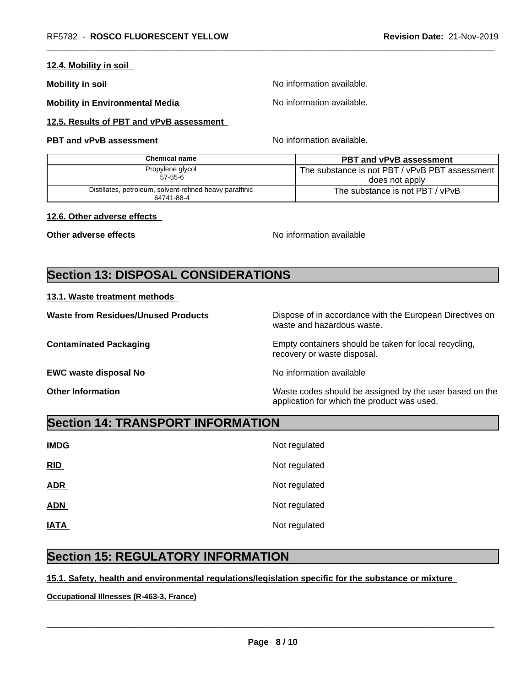# **12.4. Mobility in soil**

**Mobility in soil Mobility in soil Mobility in soil** 

**Mobility in Environmental Media** Noinformation available.

**12.5. Results of PBT and vPvB assessment**

## **PBT and vPvB assessment No information available.**

| Chemical name                                                          | <b>PBT and vPvB assessment</b>                   |  |  |
|------------------------------------------------------------------------|--------------------------------------------------|--|--|
| Propylene glycol                                                       | The substance is not PBT / vPvB PBT assessment I |  |  |
| $57 - 55 - 6$                                                          | does not apply                                   |  |  |
| Distillates, petroleum, solvent-refined heavy paraffinic<br>64741-88-4 | The substance is not PBT / vPvB                  |  |  |

#### **12.6. Other adverse effects**

**Other adverse effects** No information available

# **Section 13: DISPOSAL CONSIDERATIONS**

### **13.1. Waste treatment methods**

| <b>Waste from Residues/Unused Products</b> | Dispose of in accordance with the European Directives on<br>waste and hazardous waste.                 |
|--------------------------------------------|--------------------------------------------------------------------------------------------------------|
| <b>Contaminated Packaging</b>              | Empty containers should be taken for local recycling,<br>recovery or waste disposal.                   |
| <b>EWC waste disposal No</b>               | No information available                                                                               |
| <b>Other Information</b>                   | Waste codes should be assigned by the user based on the<br>application for which the product was used. |

# **Section 14: TRANSPORT INFORMATION**

| <b>IMDG</b> | Not regulated |
|-------------|---------------|
| RID         | Not regulated |
| <b>ADR</b>  | Not regulated |
| <b>ADN</b>  | Not regulated |
| <b>IATA</b> | Not regulated |

# **Section 15: REGULATORY INFORMATION**

# **15.1. Safety, health and environmental regulations/legislation specific for the substance or mixture**

**Occupational Illnesses (R-463-3, France)**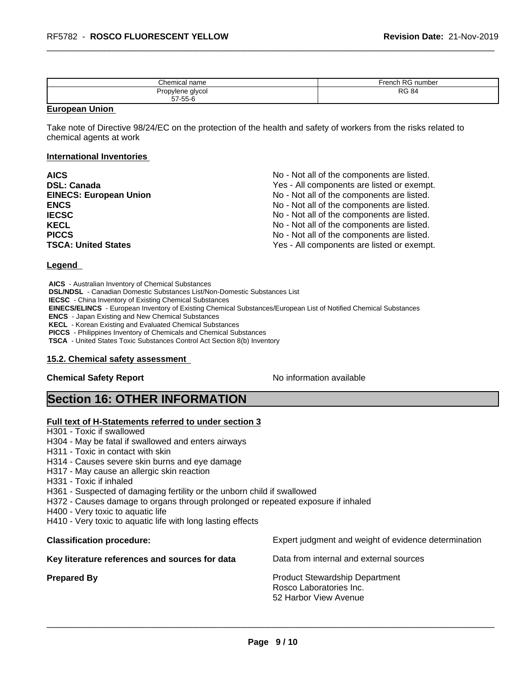| <i>Chemical</i> ٢<br>name | French RG number |
|---------------------------|------------------|
| Propylene glycol          | D <sub>C</sub>   |
|                           | <b>RG 84</b>     |

#### **European Union**

Take note of Directive 98/24/EC on the protection of the health and safety of workers from the risks related to chemical agents at work

#### **International Inventories**

| <b>AICS</b>                   | No - Not all of the components are listed. |
|-------------------------------|--------------------------------------------|
| <b>DSL: Canada</b>            | Yes - All components are listed or exempt. |
| <b>EINECS: European Union</b> | No - Not all of the components are listed. |
| <b>ENCS</b>                   | No - Not all of the components are listed. |
| <b>IECSC</b>                  | No - Not all of the components are listed. |
| <b>KECL</b>                   | No - Not all of the components are listed. |
| <b>PICCS</b>                  | No - Not all of the components are listed. |
| <b>TSCA: United States</b>    | Yes - All components are listed or exempt. |

#### **Legend**

 **AICS** - Australian Inventory of Chemical Substances  **DSL/NDSL** - Canadian Domestic Substances List/Non-Domestic Substances List  **IECSC** - China Inventory of Existing Chemical Substances  **EINECS/ELINCS** - European Inventory of Existing Chemical Substances/European List of Notified Chemical Substances  **ENCS** - Japan Existing and New Chemical Substances  **KECL** - Korean Existing and Evaluated Chemical Substances  **PICCS** - Philippines Inventory of Chemicals and Chemical Substances  **TSCA** - United States Toxic Substances Control Act Section 8(b) Inventory

#### **15.2. Chemical safety assessment**

**Chemical Safety Report** No information available

# **Section 16: OTHER INFORMATION**

#### **Full text of H-Statements referred to under section 3**

- H301 Toxic if swallowed
- H304 May be fatal if swallowed and enters airways
- H311 Toxic in contact with skin
- H314 Causes severe skin burns and eye damage
- H317 May cause an allergic skin reaction
- H331 Toxic if inhaled
- H361 Suspected of damaging fertility or the unborn child if swallowed
- H372 Causes damage to organs through prolonged or repeated exposure if inhaled
- H400 Very toxic to aquatic life
- H410 Very toxic to aquatic life with long lasting effects

**Key literature references and sources for data** Data from internal and external sources

**Classification procedure:** Expert judgment and weight of evidence determination

**Prepared By Product Stewardship Department** Rosco Laboratories Inc. 52 Harbor View Avenue